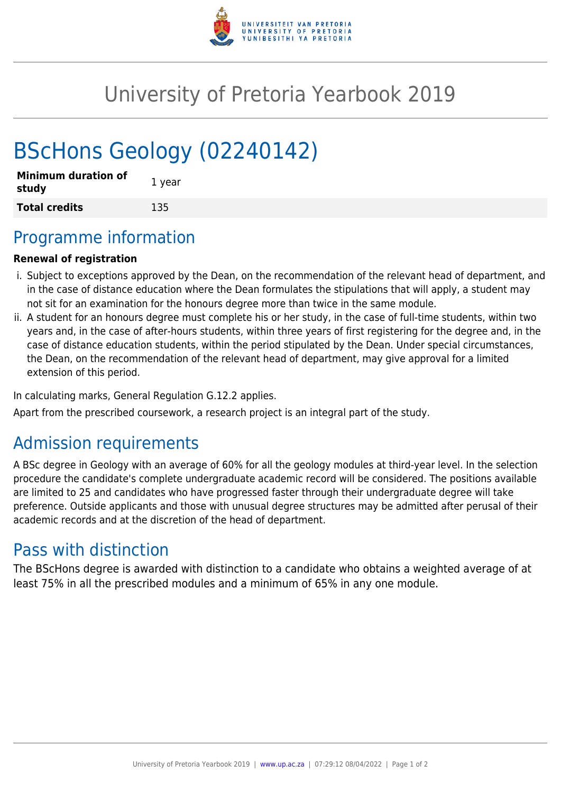

## University of Pretoria Yearbook 2019

# BScHons Geology (02240142)

| <b>Minimum duration of</b><br>study | 1 year |
|-------------------------------------|--------|
| <b>Total credits</b>                | 135    |

## Programme information

#### **Renewal of registration**

- i. Subject to exceptions approved by the Dean, on the recommendation of the relevant head of department, and in the case of distance education where the Dean formulates the stipulations that will apply, a student may not sit for an examination for the honours degree more than twice in the same module.
- ii. A student for an honours degree must complete his or her study, in the case of full-time students, within two years and, in the case of after-hours students, within three years of first registering for the degree and, in the case of distance education students, within the period stipulated by the Dean. Under special circumstances, the Dean, on the recommendation of the relevant head of department, may give approval for a limited extension of this period.

In calculating marks, General Regulation G.12.2 applies.

Apart from the prescribed coursework, a research project is an integral part of the study.

## Admission requirements

A BSc degree in Geology with an average of 60% for all the geology modules at third-year level. In the selection procedure the candidate's complete undergraduate academic record will be considered. The positions available are limited to 25 and candidates who have progressed faster through their undergraduate degree will take preference. Outside applicants and those with unusual degree structures may be admitted after perusal of their academic records and at the discretion of the head of department.

## Pass with distinction

The BScHons degree is awarded with distinction to a candidate who obtains a weighted average of at least 75% in all the prescribed modules and a minimum of 65% in any one module.